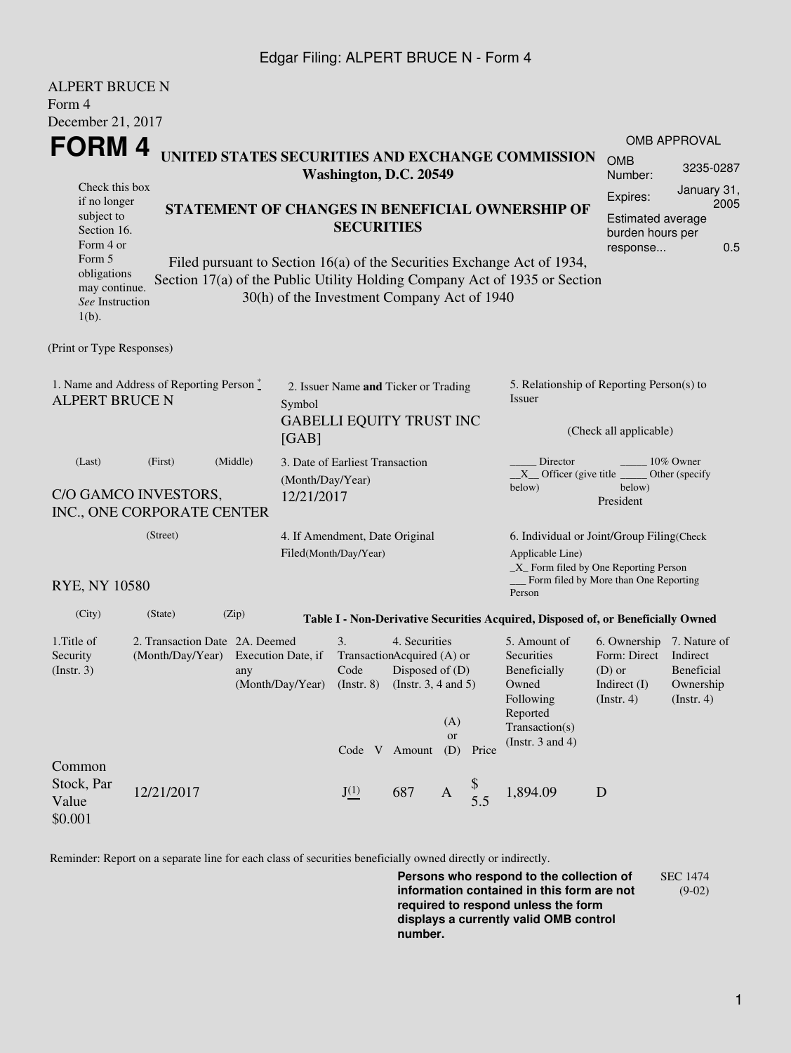## Edgar Filing: ALPERT BRUCE N - Form 4

AL BEBE BBUCE

| ALPERI BRUCE N<br>Form 4                                          |                                                                                                                                                                                                                                                                   |                           |                                                                                   |                                                                                                                                              |     |                                                                                                                         |                                                                                           |                                                                                                                                                    |                       |                     |  |
|-------------------------------------------------------------------|-------------------------------------------------------------------------------------------------------------------------------------------------------------------------------------------------------------------------------------------------------------------|---------------------------|-----------------------------------------------------------------------------------|----------------------------------------------------------------------------------------------------------------------------------------------|-----|-------------------------------------------------------------------------------------------------------------------------|-------------------------------------------------------------------------------------------|----------------------------------------------------------------------------------------------------------------------------------------------------|-----------------------|---------------------|--|
| December 21, 2017                                                 |                                                                                                                                                                                                                                                                   |                           |                                                                                   |                                                                                                                                              |     |                                                                                                                         |                                                                                           |                                                                                                                                                    |                       |                     |  |
| FORM 4                                                            |                                                                                                                                                                                                                                                                   |                           |                                                                                   |                                                                                                                                              |     |                                                                                                                         |                                                                                           |                                                                                                                                                    |                       | <b>OMB APPROVAL</b> |  |
|                                                                   |                                                                                                                                                                                                                                                                   |                           |                                                                                   | Washington, D.C. 20549                                                                                                                       |     |                                                                                                                         |                                                                                           | UNITED STATES SECURITIES AND EXCHANGE COMMISSION                                                                                                   | <b>OMB</b><br>Number: | 3235-0287           |  |
| Check this box<br>if no longer                                    |                                                                                                                                                                                                                                                                   |                           |                                                                                   |                                                                                                                                              |     |                                                                                                                         |                                                                                           |                                                                                                                                                    |                       | January 31,<br>2005 |  |
| subject to<br>Section 16.<br>Form 4 or                            | STATEMENT OF CHANGES IN BENEFICIAL OWNERSHIP OF<br><b>SECURITIES</b>                                                                                                                                                                                              |                           |                                                                                   |                                                                                                                                              |     |                                                                                                                         | Expires:<br>Estimated average<br>burden hours per<br>0.5<br>response                      |                                                                                                                                                    |                       |                     |  |
| $1(b)$ .                                                          | Form 5<br>Filed pursuant to Section 16(a) of the Securities Exchange Act of 1934,<br>obligations<br>Section 17(a) of the Public Utility Holding Company Act of 1935 or Section<br>may continue.<br>30(h) of the Investment Company Act of 1940<br>See Instruction |                           |                                                                                   |                                                                                                                                              |     |                                                                                                                         |                                                                                           |                                                                                                                                                    |                       |                     |  |
| (Print or Type Responses)                                         |                                                                                                                                                                                                                                                                   |                           |                                                                                   |                                                                                                                                              |     |                                                                                                                         |                                                                                           |                                                                                                                                                    |                       |                     |  |
| 1. Name and Address of Reporting Person*<br><b>ALPERT BRUCE N</b> |                                                                                                                                                                                                                                                                   |                           | 2. Issuer Name and Ticker or Trading<br>Symbol<br><b>GABELLI EQUITY TRUST INC</b> |                                                                                                                                              |     |                                                                                                                         |                                                                                           | 5. Relationship of Reporting Person(s) to<br>Issuer<br>(Check all applicable)                                                                      |                       |                     |  |
|                                                                   |                                                                                                                                                                                                                                                                   |                           | [GAB]                                                                             |                                                                                                                                              |     |                                                                                                                         |                                                                                           |                                                                                                                                                    |                       |                     |  |
| (Middle)<br>(First)<br>(Last)                                     |                                                                                                                                                                                                                                                                   |                           |                                                                                   | 3. Date of Earliest Transaction<br>(Month/Day/Year)                                                                                          |     |                                                                                                                         |                                                                                           | Director<br>$10\%$ Owner<br>$X$ Officer (give title<br>Other (specify<br>below)<br>below)                                                          |                       |                     |  |
|                                                                   | C/O GAMCO INVESTORS,<br>INC., ONE CORPORATE CENTER                                                                                                                                                                                                                |                           | 12/21/2017                                                                        |                                                                                                                                              |     |                                                                                                                         |                                                                                           |                                                                                                                                                    | President             |                     |  |
|                                                                   | (Street)<br>4. If Amendment, Date Original<br>Filed(Month/Day/Year)                                                                                                                                                                                               |                           |                                                                                   |                                                                                                                                              |     |                                                                                                                         |                                                                                           | 6. Individual or Joint/Group Filing(Check<br>Applicable Line)<br>$\_X$ Form filed by One Reporting Person<br>Form filed by More than One Reporting |                       |                     |  |
| <b>RYE, NY 10580</b>                                              |                                                                                                                                                                                                                                                                   |                           |                                                                                   |                                                                                                                                              |     |                                                                                                                         |                                                                                           | Person                                                                                                                                             |                       |                     |  |
| (City)                                                            | (State)                                                                                                                                                                                                                                                           | (Zip)                     |                                                                                   |                                                                                                                                              |     |                                                                                                                         |                                                                                           | Table I - Non-Derivative Securities Acquired, Disposed of, or Beneficially Owned                                                                   |                       |                     |  |
| 1. Title of<br>Security<br>(Insert. 3)                            | 2. Transaction Date 2A. Deemed<br>(Month/Day/Year)                                                                                                                                                                                                                | Execution Date, if<br>any |                                                                                   | 3.<br>4. Securities<br>TransactionAcquired (A) or<br>Disposed of (D)<br>Code<br>(Month/Day/Year) (Instr. 8) (Instr. 3, 4 and 5)<br>(A)<br>or |     | 5. Amount of<br>Securities<br>Beneficially<br>Owned<br>Following<br>Reported<br>Transaction(s)<br>(Instr. $3$ and $4$ ) | 6. Ownership 7. Nature of<br>Form: Direct<br>$(D)$ or<br>Indirect (I)<br>$($ Instr. 4 $)$ | Indirect<br>Beneficial<br>Ownership<br>$($ Instr. 4 $)$                                                                                            |                       |                     |  |
| Common<br>Stock, Par<br>Value<br>\$0.001                          | 12/21/2017                                                                                                                                                                                                                                                        |                           |                                                                                   | Code V Amount<br>$J^{(1)}$                                                                                                                   | 687 | (D)<br>$\mathbf{A}$                                                                                                     | Price<br>$\frac{\$}{5.5}$                                                                 | 1,894.09                                                                                                                                           | D                     |                     |  |

Reminder: Report on a separate line for each class of securities beneficially owned directly or indirectly.

**Persons who respond to the collection of information contained in this form are not required to respond unless the form displays a currently valid OMB control number.** SEC 1474 (9-02)